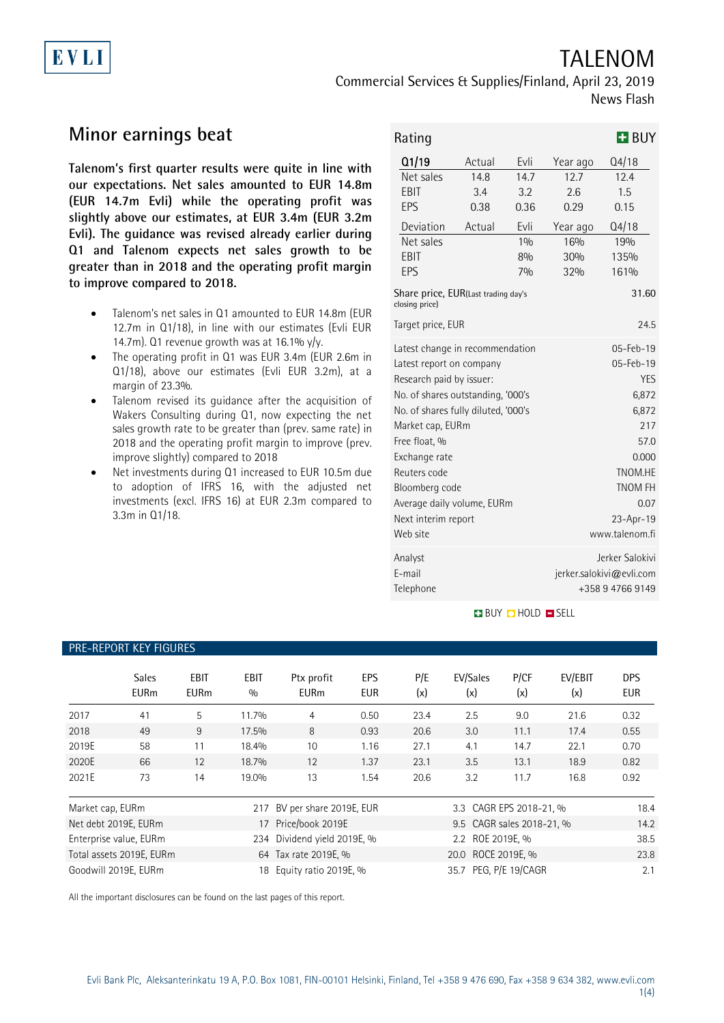# TALENOM

Commercial Services & Supplies/Finland, April 23, 2019 News Flash

## **Minor earnings beat**

EVLI

**Talenom's first quarter results were quite in line with our expectations. Net sales amounted to EUR 14.8m (EUR 14.7m Evli) while the operating profit was slightly above our estimates, at EUR 3.4m (EUR 3.2m Evli). The guidance was revised already earlier during Q1 and Talenom expects net sales growth to be greater than in 2018 and the operating profit margin to improve compared to 2018.**

- Talenom's net sales in Q1 amounted to EUR 14.8m (EUR 12.7m in Q1/18), in line with our estimates (Evli EUR 14.7m). Q1 revenue growth was at 16.1%  $y/y$ .
- The operating profit in Q1 was EUR 3.4m (EUR 2.6m in Q1/18), above our estimates (Evli EUR 3.2m), at a margin of 23.3%.
- Talenom revised its guidance after the acquisition of Wakers Consulting during Q1, now expecting the net sales growth rate to be greater than (prev. same rate) in 2018 and the operating profit margin to improve (prev. improve slightly) compared to 2018
- Net investments during Q1 increased to EUR 10.5m due to adoption of IFRS 16, with the adjusted net investments (excl. IFRS 16) at EUR 2.3m compared to 3.3m in Q1/18.

| Rating                                                                                                                                                                                                                                                                                                                       |                                         |                                                                 |                                                                                                                                                          | $H$ BUY                                                               |  |
|------------------------------------------------------------------------------------------------------------------------------------------------------------------------------------------------------------------------------------------------------------------------------------------------------------------------------|-----------------------------------------|-----------------------------------------------------------------|----------------------------------------------------------------------------------------------------------------------------------------------------------|-----------------------------------------------------------------------|--|
| Q1/19<br>Net sales<br>EBIT<br><b>EPS</b><br>Deviation<br>Net sales<br>EBIT<br>EPS<br>Share price, EUR(Last trading day's                                                                                                                                                                                                     | Actual<br>14.8<br>3.4<br>0.38<br>Actual | Evli<br>14.7<br>3.2<br>0.36<br>Evli<br>10/n<br>8%<br>70/0       | Year ago<br>12.7<br>2.6<br>0.29<br>Year ago<br>16%<br>30%<br>32%                                                                                         | Q4/18<br>12.4<br>1.5<br>0.15<br>Q4/18<br>19%<br>135%<br>161%<br>31.60 |  |
| closing price)<br>Target price, EUR                                                                                                                                                                                                                                                                                          |                                         |                                                                 | 24.5                                                                                                                                                     |                                                                       |  |
| Latest change in recommendation<br>Latest report on company<br>Research paid by issuer:<br>No. of shares outstanding, '000's<br>No. of shares fully diluted, '000's<br>Market cap, EURm<br>Free float, %<br>Exchange rate<br>Reuters code<br>Bloomberg code<br>Average daily volume, EURm<br>Next interim report<br>Web site |                                         |                                                                 | 05-Feb-19<br>$05 - Feb - 19$<br><b>YES</b><br>6,872<br>6,872<br>217<br>57.0<br>0.000<br>TNOM.HE<br><b>TNOM FH</b><br>0.07<br>23-Apr-19<br>www.talenom.fi |                                                                       |  |
| Analyst<br>E-mail<br>Telephone                                                                                                                                                                                                                                                                                               |                                         | Jerker Salokivi<br>jerker.salokivi@evli.com<br>+358 9 4766 9149 |                                                                                                                                                          |                                                                       |  |

#### **BUY DHOLD SELL**

#### PRE-REPORT KEY FIGURES

|                  | <b>Sales</b><br><b>EURm</b> | <b>EBIT</b><br><b>EURm</b> | <b>EBIT</b><br>0/0 | Ptx profit<br><b>EURm</b>   | EPS<br><b>EUR</b> | P/E<br>(x) | EV/Sales<br>(x)           | P/CF<br>(x) | EV/EBIT<br>(x) | <b>DPS</b><br><b>EUR</b> |
|------------------|-----------------------------|----------------------------|--------------------|-----------------------------|-------------------|------------|---------------------------|-------------|----------------|--------------------------|
| 2017             | 41                          | 5                          | 11.7%              | 4                           | 0.50              | 23.4       | 2.5                       | 9.0         | 21.6           | 0.32                     |
| 2018             | 49                          | 9                          | 17.5%              | 8                           | 0.93              | 20.6       | 3.0                       | 11.1        | 17.4           | 0.55                     |
| 2019E            | 58                          | 11                         | 18.4%              | 10                          | 1.16              | 27.1       | 4.1                       | 14.7        | 22.1           | 0.70                     |
| 2020E            | 66                          | 12                         | 18.7%              | 12                          | 1.37              | 23.1       | 3.5                       | 13.1        | 18.9           | 0.82                     |
| 2021E            | 73                          | 14                         | 19.0%              | 13                          | 1.54              | 20.6       | 3.2                       | 11.7        | 16.8           | 0.92                     |
| Market cap, EURm |                             |                            | 217                | BV per share 2019E, EUR     |                   |            | 3.3 CAGR EPS 2018-21, %   |             |                | 18.4                     |
|                  | Net debt 2019E, EURm        |                            | 17                 | Price/book 2019E            |                   |            | 9.5 CAGR sales 2018-21, % |             |                | 14.2                     |
|                  | Enterprise value, EURm      |                            |                    | 234 Dividend yield 2019E, % |                   |            | 2.2 ROE 2019E. %          |             |                | 38.5                     |
|                  | Total assets 2019E, EURm    |                            |                    | 64 Tax rate 2019E, %        |                   |            | 20.0 ROCE 2019E, %        |             |                | 23.8                     |
|                  | Goodwill 2019E, EURm        |                            | 18                 | Equity ratio 2019E, %       |                   |            | 35.7 PEG. P/E 19/CAGR     |             |                | 2.1                      |

All the important disclosures can be found on the last pages of this report.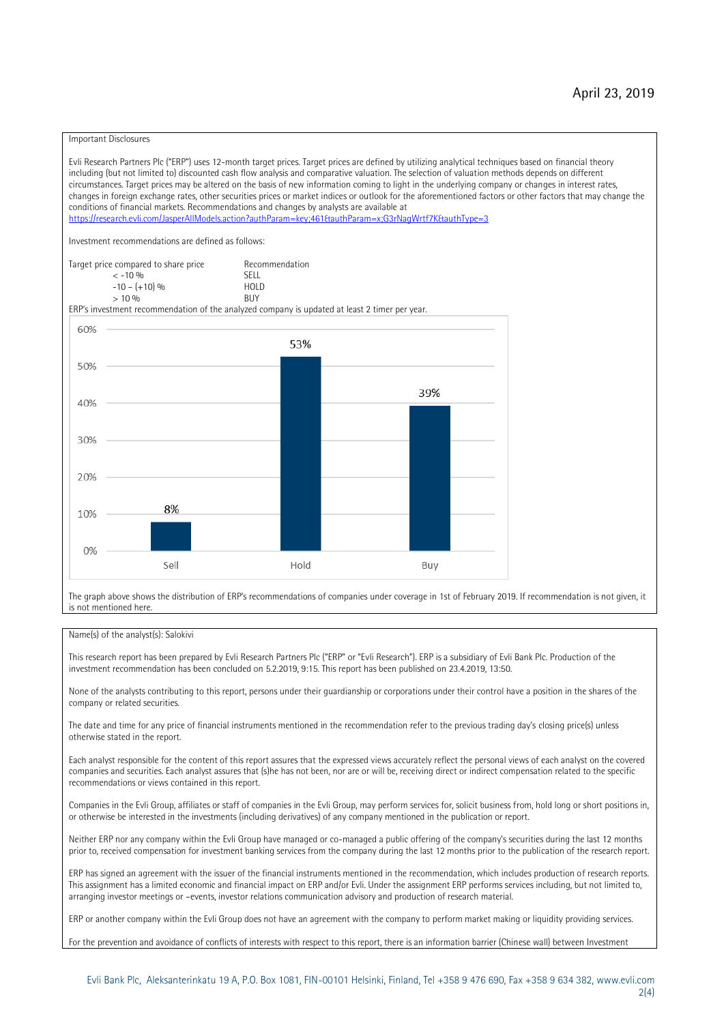#### Important Disclosures

Evli Research Partners Plc ("ERP") uses 12-month target prices. Target prices are defined by utilizing analytical techniques based on financial theory including (but not limited to) discounted cash flow analysis and comparative valuation. The selection of valuation methods depends on different circumstances. Target prices may be altered on the basis of new information coming to light in the underlying company or changes in interest rates, changes in foreign exchange rates, other securities prices or market indices or outlook for the aforementioned factors or other factors that may change the conditions of financial markets. Recommendations and changes by analysts are available at https://research.evli.com/JasperAllModels.action?authParam=key;461&tauthParam=x;G3rNagWrtf7K&tauthType=3 Investment recommendations are defined as follows: Target price compared to share price Recommendation<br>  $\epsilon$  -10 % < -10 % SELL  $-10 - (+10) \%$  HOL<br>  $> 10 \%$  RIJY  $> 10 \frac{0}{0}$ ERP's investment recommendation of the analyzed company is updated at least 2 timer per year. 60% 53% 50% 39% 40% 30% 20% 8% 10%  $0%$ Sell Hold Buy

The graph above shows the distribution of ERP's recommendations of companies under coverage in 1st of February 2019. If recommendation is not given, it is not mentioned here.

#### Name(s) of the analyst(s): Salokivi

This research report has been prepared by Evli Research Partners Plc ("ERP" or "Evli Research"). ERP is a subsidiary of Evli Bank Plc. Production of the investment recommendation has been concluded on 5.2.2019, 9:15. This report has been published on 23.4.2019, 13:50.

None of the analysts contributing to this report, persons under their guardianship or corporations under their control have a position in the shares of the company or related securities.

The date and time for any price of financial instruments mentioned in the recommendation refer to the previous trading day's closing price(s) unless otherwise stated in the report.

Each analyst responsible for the content of this report assures that the expressed views accurately reflect the personal views of each analyst on the covered companies and securities. Each analyst assures that (s)he has not been, nor are or will be, receiving direct or indirect compensation related to the specific recommendations or views contained in this report.

Companies in the Evli Group, affiliates or staff of companies in the Evli Group, may perform services for, solicit business from, hold long or short positions in, or otherwise be interested in the investments (including derivatives) of any company mentioned in the publication or report.

Neither ERP nor any company within the Evli Group have managed or co-managed a public offering of the company's securities during the last 12 months prior to, received compensation for investment banking services from the company during the last 12 months prior to the publication of the research report.

ERP has signed an agreement with the issuer of the financial instruments mentioned in the recommendation, which includes production of research reports. This assignment has a limited economic and financial impact on ERP and/or Evli. Under the assignment ERP performs services including, but not limited to, arranging investor meetings or –events, investor relations communication advisory and production of research material.

ERP or another company within the Evli Group does not have an agreement with the company to perform market making or liquidity providing services.

For the prevention and avoidance of conflicts of interests with respect to this report, there is an information barrier (Chinese wall) between Investment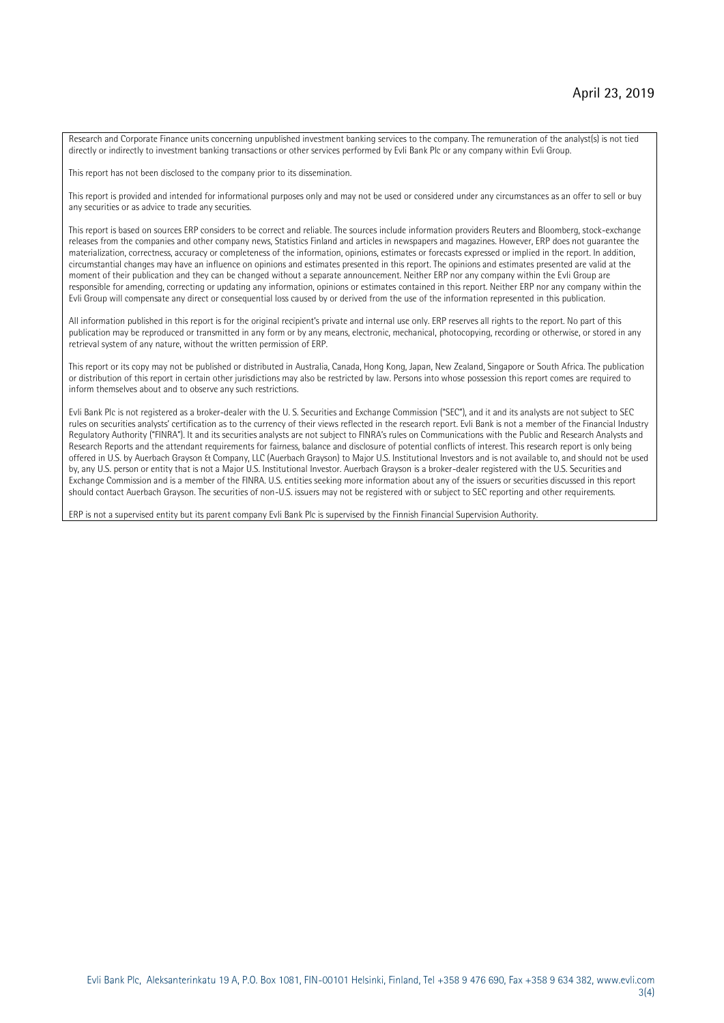Research and Corporate Finance units concerning unpublished investment banking services to the company. The remuneration of the analyst(s) is not tied directly or indirectly to investment banking transactions or other services performed by Evli Bank Plc or any company within Evli Group.

This report has not been disclosed to the company prior to its dissemination.

This report is provided and intended for informational purposes only and may not be used or considered under any circumstances as an offer to sell or buy any securities or as advice to trade any securities.

This report is based on sources ERP considers to be correct and reliable. The sources include information providers Reuters and Bloomberg, stock-exchange releases from the companies and other company news, Statistics Finland and articles in newspapers and magazines. However, ERP does not guarantee the materialization, correctness, accuracy or completeness of the information, opinions, estimates or forecasts expressed or implied in the report. In addition, circumstantial changes may have an influence on opinions and estimates presented in this report. The opinions and estimates presented are valid at the moment of their publication and they can be changed without a separate announcement. Neither ERP nor any company within the Evli Group are responsible for amending, correcting or updating any information, opinions or estimates contained in this report. Neither ERP nor any company within the Evli Group will compensate any direct or consequential loss caused by or derived from the use of the information represented in this publication.

All information published in this report is for the original recipient's private and internal use only. ERP reserves all rights to the report. No part of this publication may be reproduced or transmitted in any form or by any means, electronic, mechanical, photocopying, recording or otherwise, or stored in any retrieval system of any nature, without the written permission of ERP.

This report or its copy may not be published or distributed in Australia, Canada, Hong Kong, Japan, New Zealand, Singapore or South Africa. The publication or distribution of this report in certain other jurisdictions may also be restricted by law. Persons into whose possession this report comes are required to inform themselves about and to observe any such restrictions.

Evli Bank Plc is not registered as a broker-dealer with the U. S. Securities and Exchange Commission ("SEC"), and it and its analysts are not subject to SEC rules on securities analysts' certification as to the currency of their views reflected in the research report. Evli Bank is not a member of the Financial Industry Regulatory Authority ("FINRA"). It and its securities analysts are not subject to FINRA's rules on Communications with the Public and Research Analysts and Research Reports and the attendant requirements for fairness, balance and disclosure of potential conflicts of interest. This research report is only being offered in U.S. by Auerbach Grayson & Company, LLC (Auerbach Grayson) to Major U.S. Institutional Investors and is not available to, and should not be used by, any U.S. person or entity that is not a Major U.S. Institutional Investor. Auerbach Grayson is a broker-dealer registered with the U.S. Securities and Exchange Commission and is a member of the FINRA. U.S. entities seeking more information about any of the issuers or securities discussed in this report should contact Auerbach Grayson. The securities of non-U.S. issuers may not be registered with or subject to SEC reporting and other requirements.

ERP is not a supervised entity but its parent company Evli Bank Plc is supervised by the Finnish Financial Supervision Authority.